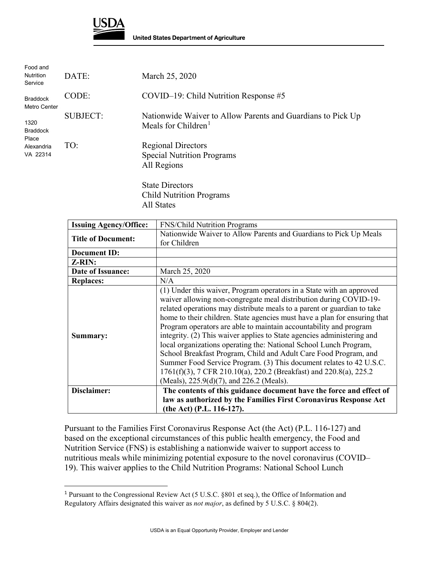

 $\overline{a}$ 

| Food and<br><b>Nutrition</b><br>Service | DATE:           | March 25, 2020                                                                                 |
|-----------------------------------------|-----------------|------------------------------------------------------------------------------------------------|
| <b>Braddock</b><br><b>Metro Center</b>  | CODE:           | $COVID-19$ : Child Nutrition Response #5                                                       |
| 1320<br><b>Braddock</b><br>Place        | <b>SUBJECT:</b> | Nationwide Waiver to Allow Parents and Guardians to Pick Up<br>Meals for Children <sup>1</sup> |
| Alexandria<br>VA 22314                  | TO:             | <b>Regional Directors</b><br><b>Special Nutrition Programs</b><br>All Regions                  |
|                                         |                 | <b>State Directors</b>                                                                         |

Child Nutrition Programs All States

| <b>Issuing Agency/Office:</b> | <b>FNS/Child Nutrition Programs</b>                                                                                                                                                                                                                                                                                                                                                                                                                                                                                                                                                                                                                                                                                                                                                |  |
|-------------------------------|------------------------------------------------------------------------------------------------------------------------------------------------------------------------------------------------------------------------------------------------------------------------------------------------------------------------------------------------------------------------------------------------------------------------------------------------------------------------------------------------------------------------------------------------------------------------------------------------------------------------------------------------------------------------------------------------------------------------------------------------------------------------------------|--|
| <b>Title of Document:</b>     | Nationwide Waiver to Allow Parents and Guardians to Pick Up Meals                                                                                                                                                                                                                                                                                                                                                                                                                                                                                                                                                                                                                                                                                                                  |  |
|                               | for Children                                                                                                                                                                                                                                                                                                                                                                                                                                                                                                                                                                                                                                                                                                                                                                       |  |
| <b>Document ID:</b>           |                                                                                                                                                                                                                                                                                                                                                                                                                                                                                                                                                                                                                                                                                                                                                                                    |  |
| Z-RIN:                        |                                                                                                                                                                                                                                                                                                                                                                                                                                                                                                                                                                                                                                                                                                                                                                                    |  |
| Date of Issuance:             | March 25, 2020                                                                                                                                                                                                                                                                                                                                                                                                                                                                                                                                                                                                                                                                                                                                                                     |  |
| <b>Replaces:</b>              | N/A                                                                                                                                                                                                                                                                                                                                                                                                                                                                                                                                                                                                                                                                                                                                                                                |  |
| Summary:                      | (1) Under this waiver, Program operators in a State with an approved<br>waiver allowing non-congregate meal distribution during COVID-19-<br>related operations may distribute meals to a parent or guardian to take<br>home to their children. State agencies must have a plan for ensuring that<br>Program operators are able to maintain accountability and program<br>integrity. (2) This waiver applies to State agencies administering and<br>local organizations operating the: National School Lunch Program,<br>School Breakfast Program, Child and Adult Care Food Program, and<br>Summer Food Service Program. (3) This document relates to 42 U.S.C.<br>1761(f)(3), 7 CFR 210.10(a), 220.2 (Breakfast) and 220.8(a), 225.2<br>(Meals), 225.9(d)(7), and 226.2 (Meals). |  |
| Disclaimer:                   | The contents of this guidance document have the force and effect of                                                                                                                                                                                                                                                                                                                                                                                                                                                                                                                                                                                                                                                                                                                |  |
|                               | law as authorized by the Families First Coronavirus Response Act                                                                                                                                                                                                                                                                                                                                                                                                                                                                                                                                                                                                                                                                                                                   |  |
|                               | (the Act) (P.L. 116-127).                                                                                                                                                                                                                                                                                                                                                                                                                                                                                                                                                                                                                                                                                                                                                          |  |

Pursuant to the Families First Coronavirus Response Act (the Act) (P.L. 116-127) and based on the exceptional circumstances of this public health emergency, the Food and Nutrition Service (FNS) is establishing a nationwide waiver to support access to nutritious meals while minimizing potential exposure to the novel coronavirus (COVID– 19). This waiver applies to the Child Nutrition Programs: National School Lunch

<span id="page-0-0"></span> Regulatory Affairs designated this waiver as *not major*, as defined by 5 U.S.C. § 804(2). <sup>1</sup> Pursuant to the Congressional Review Act (5 U.S.C. §801 et seq.), the Office of Information and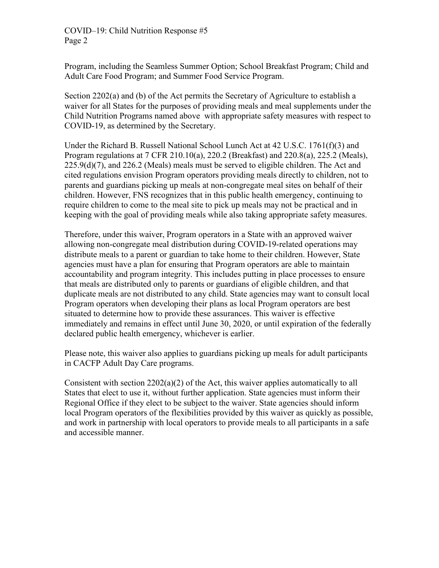COVID–19: Child Nutrition Response #5 Page 2

Program, including the Seamless Summer Option; School Breakfast Program; Child and Adult Care Food Program; and Summer Food Service Program.

 Section 2202(a) and (b) of the Act permits the Secretary of Agriculture to establish a waiver for all States for the purposes of providing meals and meal supplements under the Child Nutrition Programs named above with appropriate safety measures with respect to COVID-19, as determined by the Secretary.

 225.9(d)(7), and 226.2 (Meals) meals must be served to eligible children. The Act and keeping with the goal of providing meals while also taking appropriate safety measures. Under the Richard B. Russell National School Lunch Act at 42 U.S.C. 1761(f)(3) and Program regulations at 7 CFR 210.10(a), 220.2 (Breakfast) and 220.8(a), 225.2 (Meals), cited regulations envision Program operators providing meals directly to children, not to parents and guardians picking up meals at non-congregate meal sites on behalf of their children. However, FNS recognizes that in this public health emergency, continuing to require children to come to the meal site to pick up meals may not be practical and in

 agencies must have a plan for ensuring that Program operators are able to maintain Program operators when developing their plans as local Program operators are best Therefore, under this waiver, Program operators in a State with an approved waiver allowing non-congregate meal distribution during COVID-19-related operations may distribute meals to a parent or guardian to take home to their children. However, State accountability and program integrity. This includes putting in place processes to ensure that meals are distributed only to parents or guardians of eligible children, and that duplicate meals are not distributed to any child. State agencies may want to consult local situated to determine how to provide these assurances. This waiver is effective immediately and remains in effect until June 30, 2020, or until expiration of the federally declared public health emergency, whichever is earlier.

Please note, this waiver also applies to guardians picking up meals for adult participants in CACFP Adult Day Care programs.

 local Program operators of the flexibilities provided by this waiver as quickly as possible, Consistent with section  $2202(a)(2)$  of the Act, this waiver applies automatically to all States that elect to use it, without further application. State agencies must inform their Regional Office if they elect to be subject to the waiver. State agencies should inform and work in partnership with local operators to provide meals to all participants in a safe and accessible manner.